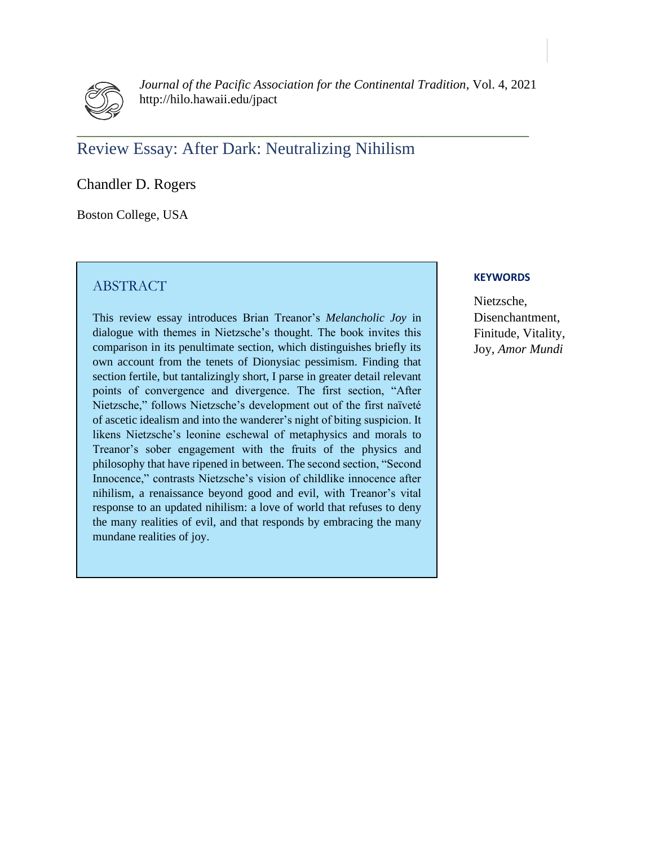

*Journal of the Pacific Association for the Continental Tradition*, Vol. 4, 2021 http://hilo.hawaii.edu/jpact

**\_\_\_\_\_\_\_\_\_\_\_\_\_\_\_\_\_\_\_\_\_\_\_\_\_\_\_\_\_\_\_\_\_\_\_\_\_\_\_\_\_\_\_\_\_\_\_\_\_\_\_\_\_\_\_\_\_\_\_\_\_\_\_\_\_\_\_\_\_\_\_\_\_\_\_\_\_**

# Review Essay: After Dark: Neutralizing Nihilism

## Chandler D. Rogers

Boston College, USA

## ABSTRACT

This review essay introduces Brian Treanor's *Melancholic Joy* in dialogue with themes in Nietzsche's thought. The book invites this comparison in its penultimate section, which distinguishes briefly its own account from the tenets of Dionysiac pessimism. Finding that section fertile, but tantalizingly short, I parse in greater detail relevant points of convergence and divergence. The first section, "After Nietzsche," follows Nietzsche's development out of the first naïveté of ascetic idealism and into the wanderer's night of biting suspicion. It likens Nietzsche's leonine eschewal of metaphysics and morals to Treanor's sober engagement with the fruits of the physics and philosophy that have ripened in between. The second section, "Second Innocence," contrasts Nietzsche's vision of childlike innocence after nihilism, a renaissance beyond good and evil, with Treanor's vital response to an updated nihilism: a love of world that refuses to deny the many realities of evil, and that responds by embracing the many mundane realities of joy.

### **KEYWORDS**

Nietzsche, Disenchantment, Finitude, Vitality, Joy, *Amor Mundi*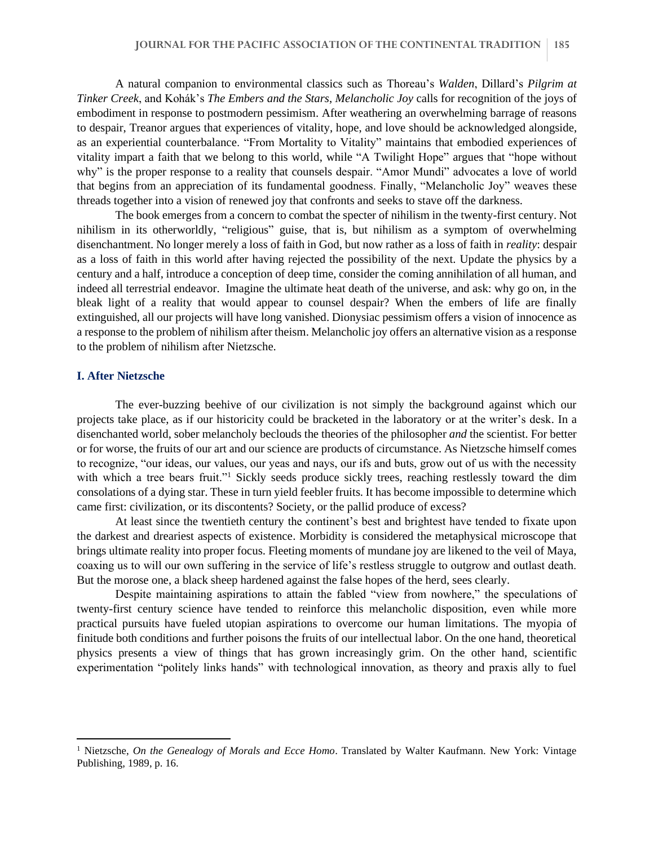A natural companion to environmental classics such as Thoreau's *Walden*, Dillard's *Pilgrim at Tinker Creek*, and Kohák's *The Embers and the Stars*, *Melancholic Joy* calls for recognition of the joys of embodiment in response to postmodern pessimism. After weathering an overwhelming barrage of reasons to despair, Treanor argues that experiences of vitality, hope, and love should be acknowledged alongside, as an experiential counterbalance. "From Mortality to Vitality" maintains that embodied experiences of vitality impart a faith that we belong to this world, while "A Twilight Hope" argues that "hope without why" is the proper response to a reality that counsels despair. "Amor Mundi" advocates a love of world that begins from an appreciation of its fundamental goodness. Finally, "Melancholic Joy" weaves these threads together into a vision of renewed joy that confronts and seeks to stave off the darkness.

The book emerges from a concern to combat the specter of nihilism in the twenty-first century. Not nihilism in its otherworldly, "religious" guise, that is, but nihilism as a symptom of overwhelming disenchantment. No longer merely a loss of faith in God, but now rather as a loss of faith in *reality*: despair as a loss of faith in this world after having rejected the possibility of the next. Update the physics by a century and a half, introduce a conception of deep time, consider the coming annihilation of all human, and indeed all terrestrial endeavor. Imagine the ultimate heat death of the universe, and ask: why go on, in the bleak light of a reality that would appear to counsel despair? When the embers of life are finally extinguished, all our projects will have long vanished. Dionysiac pessimism offers a vision of innocence as a response to the problem of nihilism after theism. Melancholic joy offers an alternative vision as a response to the problem of nihilism after Nietzsche.

### **I. After Nietzsche**

The ever-buzzing beehive of our civilization is not simply the background against which our projects take place, as if our historicity could be bracketed in the laboratory or at the writer's desk. In a disenchanted world, sober melancholy beclouds the theories of the philosopher *and* the scientist. For better or for worse, the fruits of our art and our science are products of circumstance. As Nietzsche himself comes to recognize, "our ideas, our values, our yeas and nays, our ifs and buts, grow out of us with the necessity with which a tree bears fruit."<sup>1</sup> Sickly seeds produce sickly trees, reaching restlessly toward the dim consolations of a dying star. These in turn yield feebler fruits. It has become impossible to determine which came first: civilization, or its discontents? Society, or the pallid produce of excess?

At least since the twentieth century the continent's best and brightest have tended to fixate upon the darkest and dreariest aspects of existence. Morbidity is considered the metaphysical microscope that brings ultimate reality into proper focus. Fleeting moments of mundane joy are likened to the veil of Maya, coaxing us to will our own suffering in the service of life's restless struggle to outgrow and outlast death. But the morose one, a black sheep hardened against the false hopes of the herd, sees clearly.

Despite maintaining aspirations to attain the fabled "view from nowhere," the speculations of twenty-first century science have tended to reinforce this melancholic disposition, even while more practical pursuits have fueled utopian aspirations to overcome our human limitations. The myopia of finitude both conditions and further poisons the fruits of our intellectual labor. On the one hand, theoretical physics presents a view of things that has grown increasingly grim. On the other hand, scientific experimentation "politely links hands" with technological innovation, as theory and praxis ally to fuel

<sup>1</sup> Nietzsche, *On the Genealogy of Morals and Ecce Homo*. Translated by Walter Kaufmann. New York: Vintage Publishing, 1989, p. 16.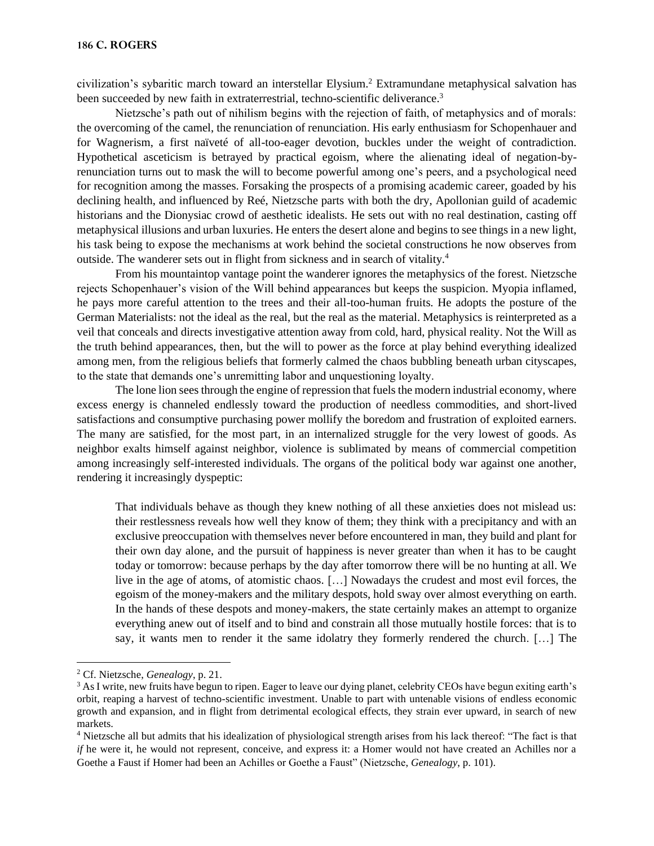civilization's sybaritic march toward an interstellar Elysium.<sup>2</sup> Extramundane metaphysical salvation has been succeeded by new faith in extraterrestrial, techno-scientific deliverance.<sup>3</sup>

Nietzsche's path out of nihilism begins with the rejection of faith, of metaphysics and of morals: the overcoming of the camel, the renunciation of renunciation. His early enthusiasm for Schopenhauer and for Wagnerism, a first naïveté of all-too-eager devotion, buckles under the weight of contradiction. Hypothetical asceticism is betrayed by practical egoism, where the alienating ideal of negation-byrenunciation turns out to mask the will to become powerful among one's peers, and a psychological need for recognition among the masses. Forsaking the prospects of a promising academic career, goaded by his declining health, and influenced by Reé, Nietzsche parts with both the dry, Apollonian guild of academic historians and the Dionysiac crowd of aesthetic idealists. He sets out with no real destination, casting off metaphysical illusions and urban luxuries. He enters the desert alone and begins to see things in a new light, his task being to expose the mechanisms at work behind the societal constructions he now observes from outside. The wanderer sets out in flight from sickness and in search of vitality.<sup>4</sup>

From his mountaintop vantage point the wanderer ignores the metaphysics of the forest. Nietzsche rejects Schopenhauer's vision of the Will behind appearances but keeps the suspicion. Myopia inflamed, he pays more careful attention to the trees and their all-too-human fruits. He adopts the posture of the German Materialists: not the ideal as the real, but the real as the material. Metaphysics is reinterpreted as a veil that conceals and directs investigative attention away from cold, hard, physical reality. Not the Will as the truth behind appearances, then, but the will to power as the force at play behind everything idealized among men, from the religious beliefs that formerly calmed the chaos bubbling beneath urban cityscapes, to the state that demands one's unremitting labor and unquestioning loyalty.

The lone lion sees through the engine of repression that fuels the modern industrial economy, where excess energy is channeled endlessly toward the production of needless commodities, and short-lived satisfactions and consumptive purchasing power mollify the boredom and frustration of exploited earners. The many are satisfied, for the most part, in an internalized struggle for the very lowest of goods. As neighbor exalts himself against neighbor, violence is sublimated by means of commercial competition among increasingly self-interested individuals. The organs of the political body war against one another, rendering it increasingly dyspeptic:

That individuals behave as though they knew nothing of all these anxieties does not mislead us: their restlessness reveals how well they know of them; they think with a precipitancy and with an exclusive preoccupation with themselves never before encountered in man, they build and plant for their own day alone, and the pursuit of happiness is never greater than when it has to be caught today or tomorrow: because perhaps by the day after tomorrow there will be no hunting at all. We live in the age of atoms, of atomistic chaos. […] Nowadays the crudest and most evil forces, the egoism of the money-makers and the military despots, hold sway over almost everything on earth. In the hands of these despots and money-makers, the state certainly makes an attempt to organize everything anew out of itself and to bind and constrain all those mutually hostile forces: that is to say, it wants men to render it the same idolatry they formerly rendered the church. […] The

<sup>2</sup> Cf. Nietzsche, *Genealogy*, p. 21.

<sup>&</sup>lt;sup>3</sup> As I write, new fruits have begun to ripen. Eager to leave our dying planet, celebrity CEOs have begun exiting earth's orbit, reaping a harvest of techno-scientific investment. Unable to part with untenable visions of endless economic growth and expansion, and in flight from detrimental ecological effects, they strain ever upward, in search of new markets.

<sup>4</sup> Nietzsche all but admits that his idealization of physiological strength arises from his lack thereof: "The fact is that *if* he were it, he would not represent, conceive, and express it: a Homer would not have created an Achilles nor a Goethe a Faust if Homer had been an Achilles or Goethe a Faust" (Nietzsche, *Genealogy*, p. 101).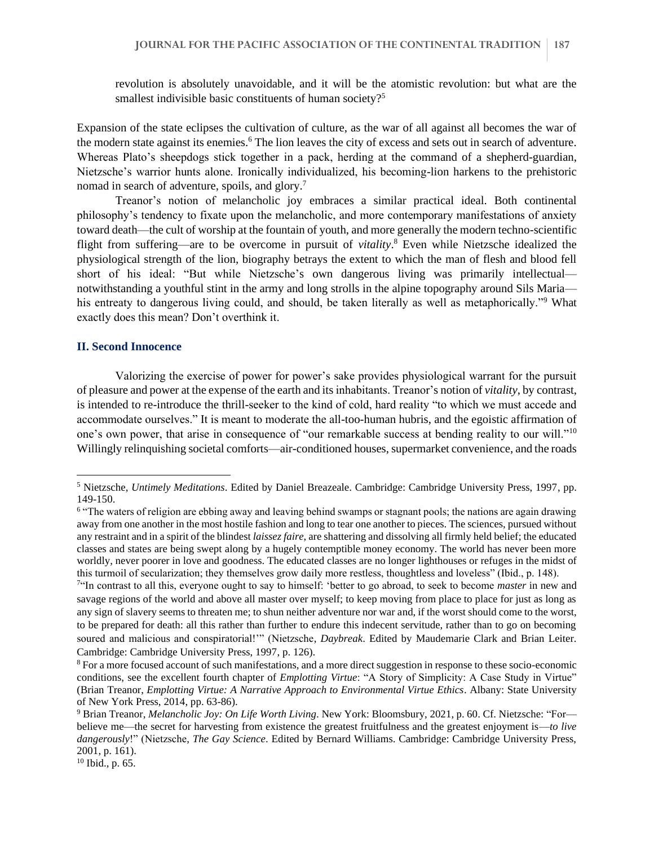revolution is absolutely unavoidable, and it will be the atomistic revolution: but what are the smallest indivisible basic constituents of human society?<sup>5</sup>

Expansion of the state eclipses the cultivation of culture, as the war of all against all becomes the war of the modern state against its enemies.<sup>6</sup> The lion leaves the city of excess and sets out in search of adventure. Whereas Plato's sheepdogs stick together in a pack, herding at the command of a shepherd-guardian, Nietzsche's warrior hunts alone. Ironically individualized, his becoming-lion harkens to the prehistoric nomad in search of adventure, spoils, and glory.<sup>7</sup>

Treanor's notion of melancholic joy embraces a similar practical ideal. Both continental philosophy's tendency to fixate upon the melancholic, and more contemporary manifestations of anxiety toward death—the cult of worship at the fountain of youth, and more generally the modern techno-scientific flight from suffering—are to be overcome in pursuit of *vitality*. <sup>8</sup> Even while Nietzsche idealized the physiological strength of the lion, biography betrays the extent to which the man of flesh and blood fell short of his ideal: "But while Nietzsche's own dangerous living was primarily intellectual notwithstanding a youthful stint in the army and long strolls in the alpine topography around Sils Maria his entreaty to dangerous living could, and should, be taken literally as well as metaphorically."<sup>9</sup> What exactly does this mean? Don't overthink it.

#### **II. Second Innocence**

Valorizing the exercise of power for power's sake provides physiological warrant for the pursuit of pleasure and power at the expense of the earth and its inhabitants. Treanor's notion of *vitality*, by contrast, is intended to re-introduce the thrill-seeker to the kind of cold, hard reality "to which we must accede and accommodate ourselves." It is meant to moderate the all-too-human hubris, and the egoistic affirmation of one's own power, that arise in consequence of "our remarkable success at bending reality to our will."<sup>10</sup> Willingly relinquishing societal comforts—air-conditioned houses, supermarket convenience, and the roads

<sup>5</sup> Nietzsche, *Untimely Meditations*. Edited by Daniel Breazeale. Cambridge: Cambridge University Press, 1997, pp. 149-150.

<sup>&</sup>lt;sup>6</sup> "The waters of religion are ebbing away and leaving behind swamps or stagnant pools; the nations are again drawing away from one another in the most hostile fashion and long to tear one another to pieces. The sciences, pursued without any restraint and in a spirit of the blindest *laissez faire*, are shattering and dissolving all firmly held belief; the educated classes and states are being swept along by a hugely contemptible money economy. The world has never been more worldly, never poorer in love and goodness. The educated classes are no longer lighthouses or refuges in the midst of this turmoil of secularization; they themselves grow daily more restless, thoughtless and loveless" (Ibid., p. 148).

<sup>7</sup> "In contrast to all this, everyone ought to say to himself: 'better to go abroad, to seek to become *master* in new and savage regions of the world and above all master over myself; to keep moving from place to place for just as long as any sign of slavery seems to threaten me; to shun neither adventure nor war and, if the worst should come to the worst, to be prepared for death: all this rather than further to endure this indecent servitude, rather than to go on becoming soured and malicious and conspiratorial!'" (Nietzsche, *Daybreak*. Edited by Maudemarie Clark and Brian Leiter. Cambridge: Cambridge University Press, 1997, p. 126).

<sup>8</sup> For a more focused account of such manifestations, and a more direct suggestion in response to these socio-economic conditions, see the excellent fourth chapter of *Emplotting Virtue*: "A Story of Simplicity: A Case Study in Virtue" (Brian Treanor, *Emplotting Virtue: A Narrative Approach to Environmental Virtue Ethics*. Albany: State University of New York Press, 2014, pp. 63-86).

<sup>9</sup> Brian Treanor, *Melancholic Joy: On Life Worth Living*. New York: Bloomsbury, 2021, p. 60. Cf. Nietzsche: "For believe me—the secret for harvesting from existence the greatest fruitfulness and the greatest enjoyment is—*to live dangerously*!" (Nietzsche, *The Gay Science*. Edited by Bernard Williams. Cambridge: Cambridge University Press, 2001, p. 161).

 $10$  Ibid., p. 65.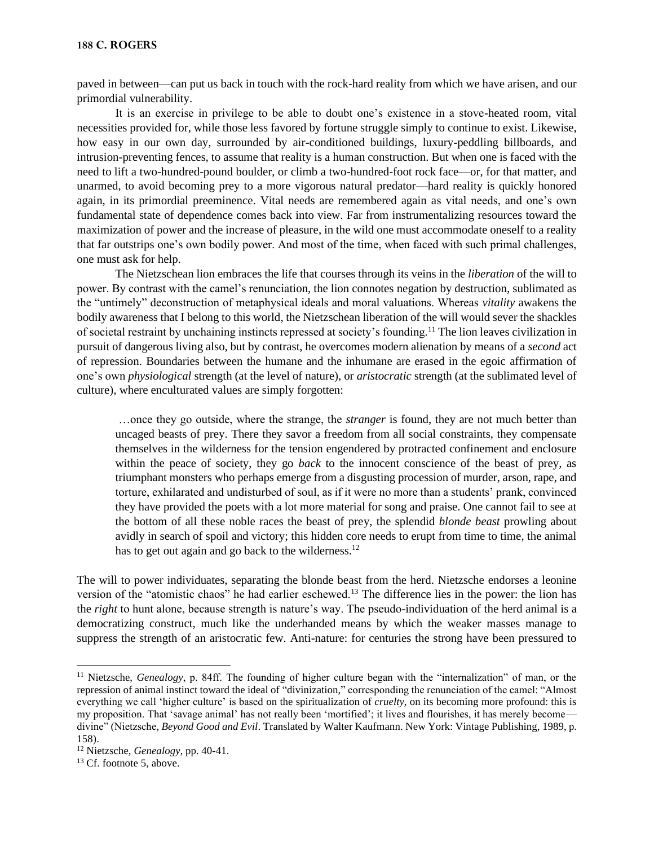paved in between—can put us back in touch with the rock-hard reality from which we have arisen, and our primordial vulnerability.

It is an exercise in privilege to be able to doubt one's existence in a stove-heated room, vital necessities provided for, while those less favored by fortune struggle simply to continue to exist. Likewise, how easy in our own day, surrounded by air-conditioned buildings, luxury-peddling billboards, and intrusion-preventing fences, to assume that reality is a human construction. But when one is faced with the need to lift a two-hundred-pound boulder, or climb a two-hundred-foot rock face—or, for that matter, and unarmed, to avoid becoming prey to a more vigorous natural predator—hard reality is quickly honored again, in its primordial preeminence. Vital needs are remembered again as vital needs, and one's own fundamental state of dependence comes back into view. Far from instrumentalizing resources toward the maximization of power and the increase of pleasure, in the wild one must accommodate oneself to a reality that far outstrips one's own bodily power. And most of the time, when faced with such primal challenges, one must ask for help.

The Nietzschean lion embraces the life that courses through its veins in the *liberation* of the will to power. By contrast with the camel's renunciation, the lion connotes negation by destruction, sublimated as the "untimely" deconstruction of metaphysical ideals and moral valuations. Whereas *vitality* awakens the bodily awareness that I belong to this world, the Nietzschean liberation of the will would sever the shackles of societal restraint by unchaining instincts repressed at society's founding.<sup>11</sup> The lion leaves civilization in pursuit of dangerous living also, but by contrast, he overcomes modern alienation by means of a *second* act of repression. Boundaries between the humane and the inhumane are erased in the egoic affirmation of one's own *physiological* strength (at the level of nature), or *aristocratic* strength (at the sublimated level of culture), where enculturated values are simply forgotten:

…once they go outside, where the strange, the *stranger* is found, they are not much better than uncaged beasts of prey. There they savor a freedom from all social constraints, they compensate themselves in the wilderness for the tension engendered by protracted confinement and enclosure within the peace of society, they go *back* to the innocent conscience of the beast of prey, as triumphant monsters who perhaps emerge from a disgusting procession of murder, arson, rape, and torture, exhilarated and undisturbed of soul, as if it were no more than a students' prank, convinced they have provided the poets with a lot more material for song and praise. One cannot fail to see at the bottom of all these noble races the beast of prey, the splendid *blonde beast* prowling about avidly in search of spoil and victory; this hidden core needs to erupt from time to time, the animal has to get out again and go back to the wilderness.<sup>12</sup>

The will to power individuates, separating the blonde beast from the herd. Nietzsche endorses a leonine version of the "atomistic chaos" he had earlier eschewed.<sup>13</sup> The difference lies in the power: the lion has the *right* to hunt alone, because strength is nature's way. The pseudo-individuation of the herd animal is a democratizing construct, much like the underhanded means by which the weaker masses manage to suppress the strength of an aristocratic few. Anti-nature: for centuries the strong have been pressured to

<sup>11</sup> Nietzsche, *Genealogy*, p. 84ff. The founding of higher culture began with the "internalization" of man, or the repression of animal instinct toward the ideal of "divinization," corresponding the renunciation of the camel: "Almost everything we call 'higher culture' is based on the spiritualization of *cruelty*, on its becoming more profound: this is my proposition. That 'savage animal' has not really been 'mortified'; it lives and flourishes, it has merely become divine" (Nietzsche, *Beyond Good and Evil*. Translated by Walter Kaufmann. New York: Vintage Publishing, 1989, p. 158).

<sup>12</sup> Nietzsche, *Genealogy*, pp. 40-41.

<sup>&</sup>lt;sup>13</sup> Cf. footnote 5, above.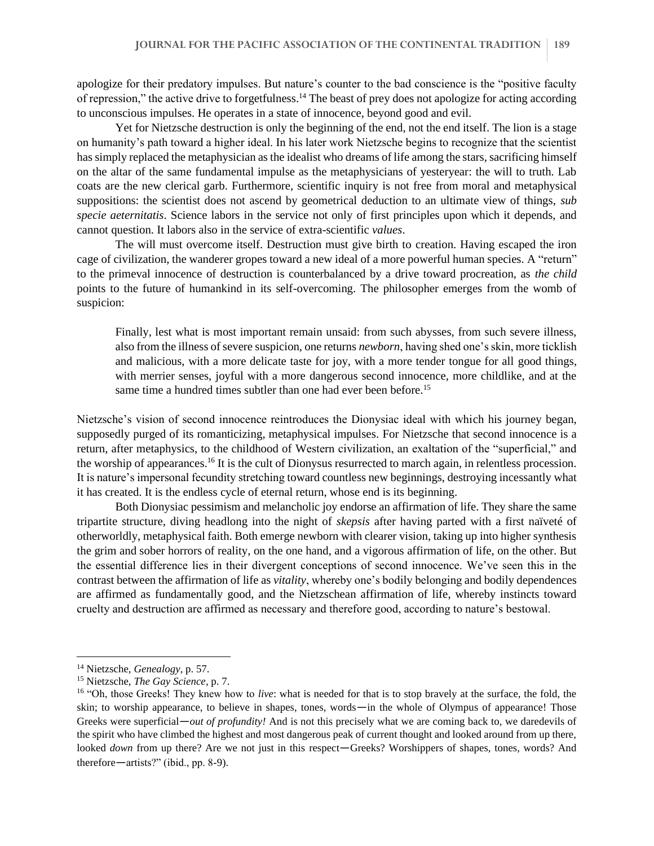apologize for their predatory impulses. But nature's counter to the bad conscience is the "positive faculty of repression," the active drive to forgetfulness.<sup>14</sup> The beast of prey does not apologize for acting according to unconscious impulses. He operates in a state of innocence, beyond good and evil.

Yet for Nietzsche destruction is only the beginning of the end, not the end itself. The lion is a stage on humanity's path toward a higher ideal. In his later work Nietzsche begins to recognize that the scientist has simply replaced the metaphysician as the idealist who dreams of life among the stars, sacrificing himself on the altar of the same fundamental impulse as the metaphysicians of yesteryear: the will to truth. Lab coats are the new clerical garb. Furthermore, scientific inquiry is not free from moral and metaphysical suppositions: the scientist does not ascend by geometrical deduction to an ultimate view of things, *sub specie aeternitatis*. Science labors in the service not only of first principles upon which it depends, and cannot question. It labors also in the service of extra-scientific *values*.

The will must overcome itself. Destruction must give birth to creation. Having escaped the iron cage of civilization, the wanderer gropes toward a new ideal of a more powerful human species. A "return" to the primeval innocence of destruction is counterbalanced by a drive toward procreation, as *the child* points to the future of humankind in its self-overcoming. The philosopher emerges from the womb of suspicion:

Finally, lest what is most important remain unsaid: from such abysses, from such severe illness, also from the illness of severe suspicion, one returns *newborn*, having shed one's skin, more ticklish and malicious, with a more delicate taste for joy, with a more tender tongue for all good things, with merrier senses, joyful with a more dangerous second innocence, more childlike, and at the same time a hundred times subtler than one had ever been before.<sup>15</sup>

Nietzsche's vision of second innocence reintroduces the Dionysiac ideal with which his journey began, supposedly purged of its romanticizing, metaphysical impulses. For Nietzsche that second innocence is a return, after metaphysics, to the childhood of Western civilization, an exaltation of the "superficial," and the worship of appearances.<sup>16</sup> It is the cult of Dionysus resurrected to march again, in relentless procession. It is nature's impersonal fecundity stretching toward countless new beginnings, destroying incessantly what it has created. It is the endless cycle of eternal return, whose end is its beginning.

Both Dionysiac pessimism and melancholic joy endorse an affirmation of life. They share the same tripartite structure, diving headlong into the night of *skepsis* after having parted with a first naïveté of otherworldly, metaphysical faith. Both emerge newborn with clearer vision, taking up into higher synthesis the grim and sober horrors of reality, on the one hand, and a vigorous affirmation of life, on the other. But the essential difference lies in their divergent conceptions of second innocence. We've seen this in the contrast between the affirmation of life as *vitality*, whereby one's bodily belonging and bodily dependences are affirmed as fundamentally good, and the Nietzschean affirmation of life, whereby instincts toward cruelty and destruction are affirmed as necessary and therefore good, according to nature's bestowal.

<sup>14</sup> Nietzsche, *Genealogy*, p. 57.

<sup>15</sup> Nietzsche, *The Gay Science*, p. 7.

<sup>16</sup> "Oh, those Greeks! They knew how to *live*: what is needed for that is to stop bravely at the surface, the fold, the skin; to worship appearance, to believe in shapes, tones, words—in the whole of Olympus of appearance! Those Greeks were superficial—*out of profundity!* And is not this precisely what we are coming back to, we daredevils of the spirit who have climbed the highest and most dangerous peak of current thought and looked around from up there, looked *down* from up there? Are we not just in this respect—Greeks? Worshippers of shapes, tones, words? And therefore—artists?" (ibid., pp. 8-9).